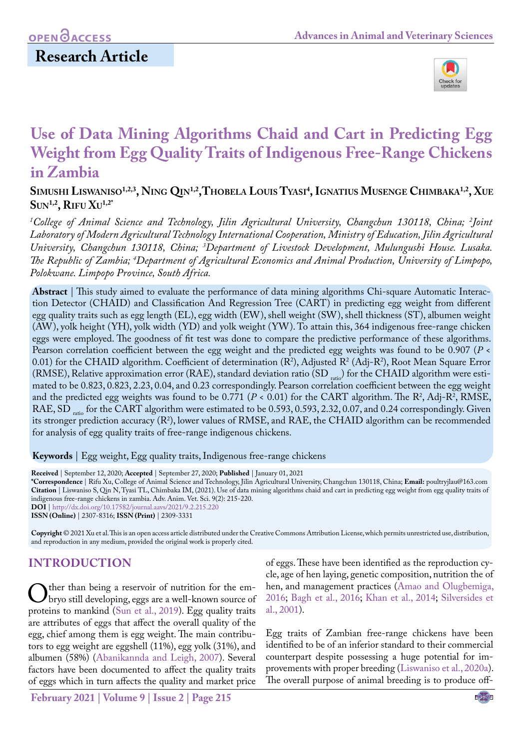# **Research Article**



# **Use of Data Mining Algorithms Chaid and Cart in Predicting Egg Weight from Egg Quality Traits of Indigenous Free-Range Chickens in Zambia**

**Simushi Liswaniso1,2,3, Ning Qin1,2,Thobela Louis Tyasi 4 , Ignatius Musenge Chimbaka1,2, Xue Sun1,2, Rifu Xu1,2\***

*1 College of Animal Science and Technology, Jilin Agricultural University, Changchun 130118, China; 2 Joint Laboratory of Modern Agricultural Technology International Cooperation, Ministry of Education, Jilin Agricultural University, Changchun 130118, China; 3 Department of Livestock Development, Mulungushi House. Lusaka. The Republic of Zambia; 4 Department of Agricultural Economics and Animal Production, University of Limpopo, Polokwane. Limpopo Province, South Africa.*

**Abstract** | This study aimed to evaluate the performance of data mining algorithms Chi-square Automatic Interaction Detector (CHAID) and Classification And Regression Tree (CART) in predicting egg weight from different egg quality traits such as egg length (EL), egg width (EW), shell weight (SW), shell thickness (ST), albumen weight (AW), yolk height (YH), yolk width (YD) and yolk weight (YW). To attain this, 364 indigenous free-range chicken eggs were employed. The goodness of fit test was done to compare the predictive performance of these algorithms. Pearson correlation coefficient between the egg weight and the predicted egg weights was found to be 0.907 (*P* <  $(0.01)$  for the CHAID algorithm. Coefficient of determination (R<sup>2</sup>), Adjusted R<sup>2</sup> (Adj-R<sup>2</sup>), Root Mean Square Error (RMSE), Relative approximation error (RAE), standard deviation ratio (SD  $_{\rm ratio}$ ) for the CHAID algorithm were estimated to be 0.823, 0.823, 2.23, 0.04, and 0.23 correspondingly. Pearson correlation coefficient between the egg weight and the predicted egg weights was found to be  $0.771$  ( $P < 0.01$ ) for the CART algorithm. The R<sup>2</sup>, Adj-R<sup>2</sup>, RMSE, RAE, SD ratio for the CART algorithm were estimated to be 0.593, 0.593, 2.32, 0.07, and 0.24 correspondingly. Given its stronger prediction accuracy ( $R^2$ ), lower values of RMSE, and RAE, the CHAID algorithm can be recommended for analysis of egg quality traits of free-range indigenous chickens.

**Keywords** | Egg weight, Egg quality traits, Indigenous free-range chickens

**Received** | September 12, 2020; **Accepted** | September 27, 2020; **Published** | January 01, 2021

**\*Correspondence** | Rifu Xu, College of Animal Science and Technology, Jilin Agricultural University, Changchun 130118, China; **Email:** poultryjlau@163.com **Citation** | Liswaniso S, Qin N, Tyasi TL, Chimbaka IM, (2021). Use of data mining algorithms chaid and cart in predicting egg weight from egg quality traits of indigenous free-range chickens in zambia. Adv. Anim. Vet. Sci. 9(2): 215-220. **DOI** | [http://dx.doi.org/10.17582/journal.aavs/2021](http://dx.doi.org/10.17582/journal.aavs/2021/9.2.215.220)/9.2.215.220

**ISSN (Online)** | 2307-8316; **ISSN (Print)** | 2309-3331

**Copyright** © 2021 Xu et al. This is an open access article distributed under the Creative Commons Attribution License, which permits unrestricted use, distribution, and reproduction in any medium, provided the original work is properly cited.

### **INTRODUCTION**

Other than being a reservoir of nutrition for the em-<br>bryo still developing, eggs are a well-known source of<br>proteins to mankind (Sun et al., 2019). Egg quality traits proteins to mankind (Sun et al., 2019). Egg quality traits are attributes of eggs that affect the overall quality of the egg, chief among them is egg weight. The main contributors to egg weight are eggshell (11%), egg yolk (31%), and albumen (58%) ([Abanikannda and Leigh, 2007](#page-4-0)). Several factors have been documented to affect the quality traits of eggs which in turn affects the quality and market price

of eggs. These have been identified as the reproduction cycle, age of hen laying, genetic composition, nutrition the of hen, and management practices ([Amao and Olugbemiga,](#page-5-1) [2016;](#page-5-1) [Bagh et al., 2016](#page-5-2); Khan et al., 2014; [Silversides et](#page-5-3) [al., 2001\)](#page-5-3).

Egg traits of Zambian free-range chickens have been identified to be of an inferior standard to their commercial counterpart despite possessing a huge potential for improvements with proper breeding ([Liswaniso et al., 2020a\)](#page-5-4). The overall purpose of animal breeding is to produce off-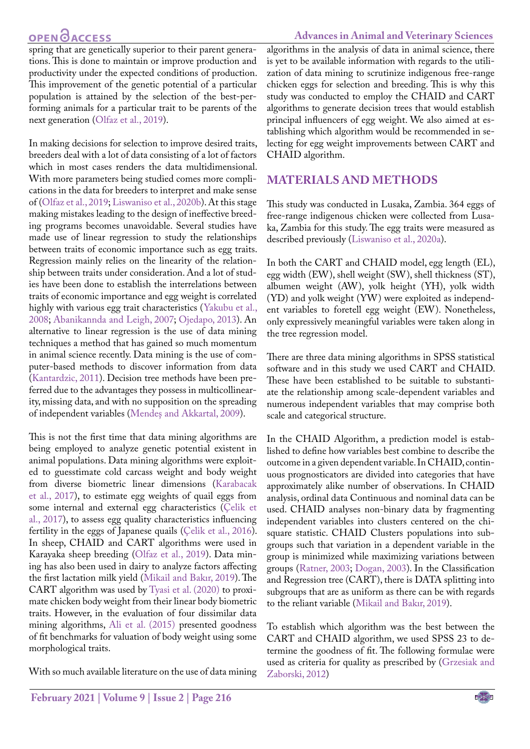## **OPEN**<sub>d</sub>

#### **Advances in Animal and Veterinary Sciences**

spring that are genetically superior to their parent generations. This is done to maintain or improve production and productivity under the expected conditions of production. This improvement of the genetic potential of a particular population is attained by the selection of the best-performing animals for a particular trait to be parents of the next generation (Olfaz et al., 2019).

In making decisions for selection to improve desired traits, breeders deal with a lot of data consisting of a lot of factors which in most cases renders the data multidimensional. With more parameters being studied comes more complications in the data for breeders to interpret and make sense of (Olfaz et al., 2019; [Liswaniso et al., 2020b\)](#page-5-5). At this stage making mistakes leading to the design of ineffective breeding programs becomes unavoidable. Several studies have made use of linear regression to study the relationships between traits of economic importance such as egg traits. Regression mainly relies on the linearity of the relationship between traits under consideration. And a lot of studies have been done to establish the interrelations between traits of economic importance and egg weight is correlated highly with various egg trait characteristics ([Yakubu et al.,](#page-5-6) [2008](#page-5-6)[; Abanikannda and Leigh, 2007](#page-4-0); [Ojedapo, 2013\)](#page-5-7). An alternative to linear regression is the use of data mining techniques a method that has gained so much momentum in animal science recently. Data mining is the use of computer-based methods to discover information from data [\(Kantardzic, 2011](#page-5-8)). Decision tree methods have been preferred due to the advantages they possess in multicollinearity, missing data, and with no supposition on the spreading of independent variables (Mendeş and Akkartal, 2009).

This is not the first time that data mining algorithms are being employed to analyze genetic potential existent in animal populations. Data mining algorithms were exploited to guesstimate cold carcass weight and body weight from diverse biometric linear dimensions [\(Karabacak](#page-5-9) [et al., 2017](#page-5-9)), to estimate egg weights of quail eggs from some internal and external egg characteristics [\(Çelik et](#page-5-10) [al., 2017](#page-5-10)), to assess egg quality characteristics influencing fertility in the eggs of Japanese quails [\(Çelik et al., 2016\)](#page-5-11). In sheep, CHAID and CART algorithms were used in Karayaka sheep breeding (Olfaz et al., 2019). Data mining has also been used in dairy to analyze factors affecting the first lactation milk yield (Mikail and Bakır, 2019). The CART algorithm was used by [Tyasi et al. \(2020\)](#page-5-12) to proximate chicken body weight from their linear body biometric traits. However, in the evaluation of four dissimilar data mining algorithms, [Ali et al. \(2015\)](#page-4-1) presented goodness of fit benchmarks for valuation of body weight using some morphological traits.

With so much available literature on the use of data mining

algorithms in the analysis of data in animal science, there is yet to be available information with regards to the utilization of data mining to scrutinize indigenous free-range chicken eggs for selection and breeding. This is why this study was conducted to employ the CHAID and CART algorithms to generate decision trees that would establish principal influencers of egg weight. We also aimed at establishing which algorithm would be recommended in selecting for egg weight improvements between CART and CHAID algorithm.

### **materials and METHODS**

This study was conducted in Lusaka, Zambia. 364 eggs of free-range indigenous chicken were collected from Lusaka, Zambia for this study. The egg traits were measured as described previously [\(Liswaniso et al., 2020a](#page-5-4)).

In both the CART and CHAID model, egg length (EL), egg width (EW), shell weight (SW), shell thickness (ST), albumen weight (AW), yolk height (YH), yolk width (YD) and yolk weight (YW) were exploited as independent variables to foretell egg weight (EW). Nonetheless, only expressively meaningful variables were taken along in the tree regression model.

There are three data mining algorithms in SPSS statistical software and in this study we used CART and CHAID. These have been established to be suitable to substantiate the relationship among scale-dependent variables and numerous independent variables that may comprise both scale and categorical structure.

In the CHAID Algorithm, a prediction model is established to define how variables best combine to describe the outcome in a given dependent variable. In CHAID, continuous prognosticators are divided into categories that have approximately alike number of observations. In CHAID analysis, ordinal data Continuous and nominal data can be used. CHAID analyses non-binary data by fragmenting independent variables into clusters centered on the chisquare statistic. CHAID Clusters populations into subgroups such that variation in a dependent variable in the group is minimized while maximizing variations between groups [\(Ratner, 2003](#page-5-13); [Dogan, 2003\)](#page-5-14). In the Classification and Regression tree (CART), there is DATA splitting into subgroups that are as uniform as there can be with regards to the reliant variable (Mikail and Bakır, 2019).

To establish which algorithm was the best between the CART and CHAID algorithm, we used SPSS 23 to determine the goodness of fit. The following formulae were used as criteria for quality as prescribed by ([Grzesiak and](#page-5-15)  [Zaborski, 2012](#page-5-15))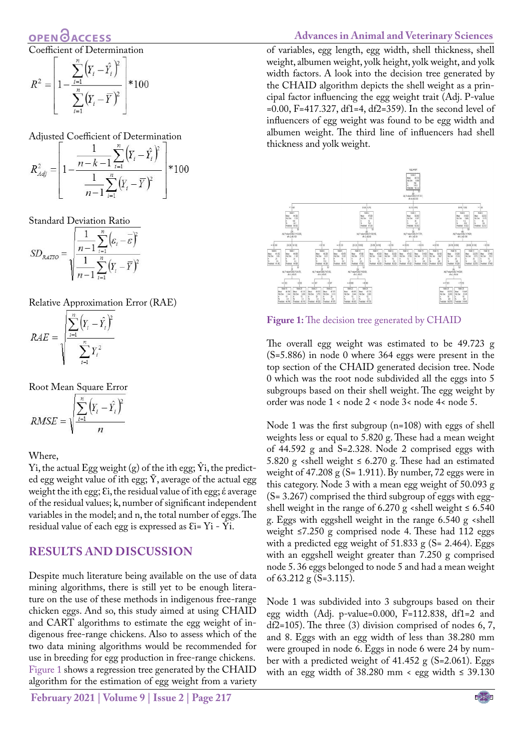**OPENO ACCESS** 

Coefficient of Determination

$$
R^{2} = \left[1 - \frac{\sum_{i=1}^{n} (Y_{i} - \hat{Y}_{i})^{2}}{\sum_{i=1}^{n} (Y_{i} - \overline{Y})^{2}}\right] * 100
$$

Adjusted Coefficient of Determination

$$
R_{Adj}^{2} = \left[1 - \frac{\frac{1}{n-k-1} \sum_{i=1}^{n} (Y_i - \hat{Y}_i)^2}{\frac{1}{n-1} \sum_{i=1}^{n} (Y_i - \overline{Y})^2}\right] * 100
$$

Standard Deviation Ratio

$$
SD_{RATIO} = \sqrt{\frac{\frac{1}{n-1} \sum_{i=1}^{n} (\varepsilon_i - \overline{\varepsilon})^2}{\frac{1}{n-1} \sum_{i=1}^{n} (Y_i - \overline{Y})^2}}
$$

Relative Approximation Error (RAE)

$$
RAE = \sqrt{\frac{\sum_{i=1}^{n} (Y_i - \hat{Y}_i)^2}{\sum_{i=1}^{n} Y_i^2}}
$$

Root Mean Square Error

$$
RMSE = \sqrt{\frac{\sum_{i=1}^{n} (Y_i - \hat{Y}_i)^2}{n}}
$$

Where,

Yi, the actual Egg weight (g) of the ith egg;  $\hat{Y}$ i, the predicted egg weight value of ith egg;  $\bar{Y}$ , average of the actual egg weight the ith egg; εi, the residual value of ith egg; έ average of the residual values; k, number of significant independent variables in the model; and n, the total number of eggs. The residual value of each egg is expressed as  $Ei=Yi-\bar{Y}i$ .

#### **RESULTS AND DISCUSSION**

Despite much literature being available on the use of data mining algorithms, there is still yet to be enough literature on the use of these methods in indigenous free-range chicken eggs. And so, this study aimed at using CHAID and CART algorithms to estimate the egg weight of indigenous free-range chickens. Also to assess which of the two data mining algorithms would be recommended for use in breeding for egg production in free-range chickens. [Figure 1](#page-2-0) shows a regression tree generated by the CHAID algorithm for the estimation of egg weight from a variety

#### **Advances in Animal and Veterinary Sciences**

of variables, egg length, egg width, shell thickness, shell weight, albumen weight, yolk height, yolk weight, and yolk width factors. A look into the decision tree generated by the CHAID algorithm depicts the shell weight as a principal factor influencing the egg weight trait (Adj. P-value =0.00, F=417.327, df1=4, df2=359). In the second level of influencers of egg weight was found to be egg width and albumen weight. The third line of influencers had shell thickness and yolk weight.



<span id="page-2-0"></span>**Figure 1:** The decision tree generated by CHAID

The overall egg weight was estimated to be 49.723 g (S=5.886) in node 0 where 364 eggs were present in the top section of the CHAID generated decision tree. Node 0 which was the root node subdivided all the eggs into 5 subgroups based on their shell weight. The egg weight by order was node 1 < node 2 < node 3< node 4< node 5.

Node 1 was the first subgroup (n=108) with eggs of shell weights less or equal to 5.820 g. These had a mean weight of 44.592 g and S=2.328. Node 2 comprised eggs with 5.820 g <shell weight  $\leq$  6.270 g. These had an estimated weight of  $47.208 \text{ g}$  (S= 1.911). By number, 72 eggs were in this category. Node 3 with a mean egg weight of 50.093 g (S= 3.267) comprised the third subgroup of eggs with eggshell weight in the range of 6.270 g <shell weight  $\leq 6.540$ g. Eggs with eggshell weight in the range 6.540 g <shell weight  $\leq$ 7.250 g comprised node 4. These had 112 eggs with a predicted egg weight of 51.833 g (S= 2.464). Eggs with an eggshell weight greater than 7.250 g comprised node 5. 36 eggs belonged to node 5 and had a mean weight of 63.212 g (S=3.115).

Node 1 was subdivided into 3 subgroups based on their egg width (Adj. p-value=0.000, F=112.838, df1=2 and df2=105). The three (3) division comprised of nodes 6, 7, and 8. Eggs with an egg width of less than 38.280 mm were grouped in node 6. Eggs in node 6 were 24 by number with a predicted weight of  $41.452$  g (S=2.061). Eggs with an egg width of  $38.280$  mm < egg width  $\leq 39.130$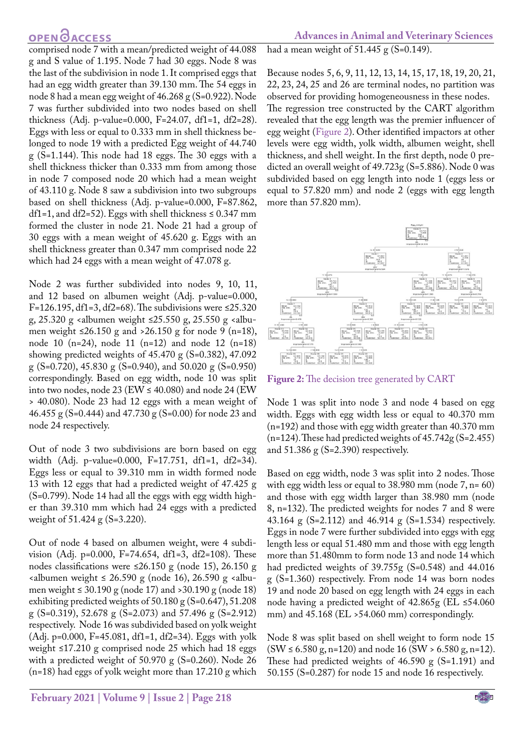### **OPENOACCESS**

comprised node 7 with a mean/predicted weight of 44.088 g and S value of 1.195. Node 7 had 30 eggs. Node 8 was the last of the subdivision in node 1. It comprised eggs that had an egg width greater than 39.130 mm. The 54 eggs in node 8 had a mean egg weight of 46.268 g (S=0.922). Node 7 was further subdivided into two nodes based on shell thickness (Adj. p-value=0.000, F=24.07, df1=1, df2=28). Eggs with less or equal to 0.333 mm in shell thickness belonged to node 19 with a predicted Egg weight of 44.740 g (S=1.144). This node had 18 eggs. The 30 eggs with a shell thickness thicker than 0.333 mm from among those in node 7 composed node 20 which had a mean weight of 43.110 g. Node 8 saw a subdivision into two subgroups based on shell thickness (Adj. p-value=0.000, F=87.862, df1=1, and df2=52). Eggs with shell thickness  $\leq 0.347$  mm formed the cluster in node 21. Node 21 had a group of 30 eggs with a mean weight of 45.620 g. Eggs with an shell thickness greater than 0.347 mm comprised node 22 which had 24 eggs with a mean weight of 47.078 g.

Node 2 was further subdivided into nodes 9, 10, 11, and 12 based on albumen weight (Adj. p-value=0.000, F=126.195, df1=3, df2=68). The subdivisions were  $\leq$ 25.320 g, 25.320 g <albumen weight ≤25.550 g, 25.550 g <albumen weight  $\leq 26.150$  g and  $>26.150$  g for node 9 (n=18), node 10 (n=24), node 11 (n=12) and node 12 (n=18) showing predicted weights of  $45.470 \text{ g}$  (S=0.382),  $47.092$ g (S=0.720), 45.830 g (S=0.940), and 50.020 g (S=0.950) correspondingly. Based on egg width, node 10 was split into two nodes, node 23 (EW  $\leq$  40.080) and node 24 (EW > 40.080). Node 23 had 12 eggs with a mean weight of 46.455 g (S=0.444) and 47.730 g (S=0.00) for node 23 and node 24 respectively.

Out of node 3 two subdivisions are born based on egg width (Adj. p-value=0.000, F=17.751, df1=1, df2=34). Eggs less or equal to 39.310 mm in width formed node 13 with 12 eggs that had a predicted weight of 47.425 g (S=0.799). Node 14 had all the eggs with egg width higher than 39.310 mm which had 24 eggs with a predicted weight of 51.424 g (S=3.220).

Out of node 4 based on albumen weight, were 4 subdivision (Adj. p=0.000, F=74.654, df1=3, df2=108). These nodes classifications were ≤26.150 g (node 15), 26.150 g <albumen weight ≤ 26.590 g (node 16), 26.590 g <albumen weight  $\leq 30.190$  g (node 17) and  $>30.190$  g (node 18) exhibiting predicted weights of 50.180 g (S=0.647), 51.208 g (S=0.319), 52.678 g (S=2.073) and 57.496 g (S=2.912) respectively. Node 16 was subdivided based on yolk weight (Adj. p=0.000, F=45.081, df1=1, df2=34). Eggs with yolk weight ≤17.210 g comprised node 25 which had 18 eggs with a predicted weight of 50.970 g (S=0.260). Node 26 (n=18) had eggs of yolk weight more than 17.210 g which

had a mean weight of  $51.445$  g (S=0.149).

Because nodes 5, 6, 9, 11, 12, 13, 14, 15, 17, 18, 19, 20, 21, 22, 23, 24, 25 and 26 are terminal nodes, no partition was observed for providing homogeneousness in these nodes. The regression tree constructed by the CART algorithm revealed that the egg length was the premier influencer of egg weight ([Figure 2\)](#page-3-0). Other identified impactors at other levels were egg width, yolk width, albumen weight, shell thickness, and shell weight. In the first depth, node 0 predicted an overall weight of 49.723g (S=5.886). Node 0 was subdivided based on egg length into node 1 (eggs less or equal to 57.820 mm) and node 2 (eggs with egg length more than 57.820 mm).



<span id="page-3-0"></span>**Figure 2:** The decision tree generated by CART

Node 1 was split into node 3 and node 4 based on egg width. Eggs with egg width less or equal to 40.370 mm (n=192) and those with egg width greater than 40.370 mm (n=124). These had predicted weights of 45.742g (S=2.455) and 51.386 g (S=2.390) respectively.

Based on egg width, node 3 was split into 2 nodes. Those with egg width less or equal to 38.980 mm (node 7, n= 60) and those with egg width larger than 38.980 mm (node 8, n=132). The predicted weights for nodes 7 and 8 were 43.164 g (S=2.112) and 46.914 g (S=1.534) respectively. Eggs in node 7 were further subdivided into eggs with egg length less or equal 51.480 mm and those with egg length more than 51.480mm to form node 13 and node 14 which had predicted weights of 39.755g (S=0.548) and 44.016 g (S=1.360) respectively. From node 14 was born nodes 19 and node 20 based on egg length with 24 eggs in each node having a predicted weight of 42.865g (EL ≤54.060 mm) and 45.168 (EL >54.060 mm) correspondingly.

Node 8 was split based on shell weight to form node 15  $(SW \le 6.580 \text{ g}, \text{n=120})$  and node 16  $(SW > 6.580 \text{ g}, \text{n=12}).$ These had predicted weights of 46.590 g (S=1.191) and 50.155 (S=0.287) for node 15 and node 16 respectively.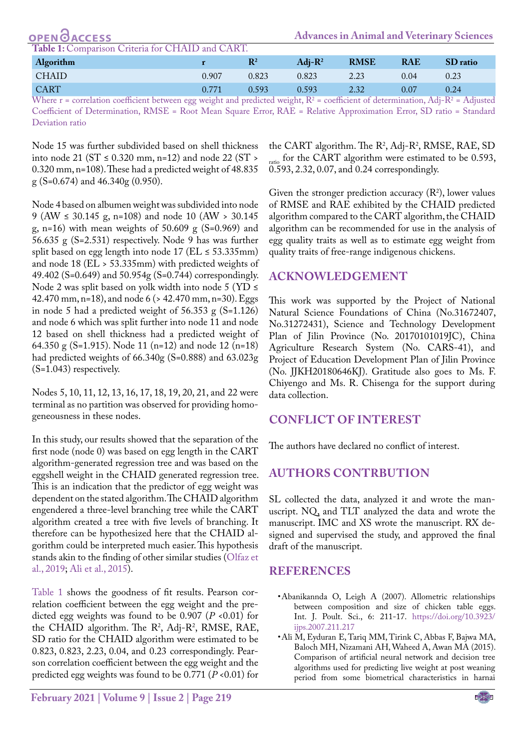| <b>OPEN ØACCESS</b> |  |  |  |  |
|---------------------|--|--|--|--|

<span id="page-4-2"></span>**Table 1:** Comparison Criteria for CHAID and CART.

| Algorithm                  |       | $\mathbb{R}^2$ | $Adi-R^2$   | <b>RMSE</b>       | <b>RAE</b> | SD ratio  |
|----------------------------|-------|----------------|-------------|-------------------|------------|-----------|
| <b>CHAID</b>               | 0.907 | 0.823          | 0.823       | 2.23              | 0.04       | 0.23      |
| <b>CART</b><br>----<br>___ | 0.771 | 0.593          | 0.593<br>__ | 2.32<br>--<br>___ | 0.07       | 0.24<br>. |

Where  $r$  = correlation coefficient between egg weight and predicted weight,  $R^2$  = coefficient of determination, Adj- $R^2$  = Adjusted Coefficient of Determination, RMSE = Root Mean Square Error, RAE = Relative Approximation Error, SD ratio = Standard Deviation ratio

Node 15 was further subdivided based on shell thickness into node 21 ( $ST \le 0.320$  mm, n=12) and node 22 ( $ST >$ 0.320 mm, n=108). These had a predicted weight of 48.835 g (S=0.674) and 46.340g (0.950).

Node 4 based on albumen weight was subdivided into node 9 (AW ≤ 30.145 g, n=108) and node 10 (AW > 30.145 g, n=16) with mean weights of 50.609 g (S=0.969) and 56.635 g (S=2.531) respectively. Node 9 has was further split based on egg length into node 17 ( $EL \leq 53.335$ mm) and node 18 (EL > 53.335mm) with predicted weights of 49.402 (S=0.649) and 50.954g (S=0.744) correspondingly. Node 2 was split based on yolk width into node 5 (YD  $\leq$ 42.470 mm, n=18), and node 6 (> 42.470 mm, n=30). Eggs in node 5 had a predicted weight of  $56.353$  g (S=1.126) and node 6 which was split further into node 11 and node 12 based on shell thickness had a predicted weight of 64.350 g (S=1.915). Node 11 (n=12) and node 12 (n=18) had predicted weights of 66.340g (S=0.888) and 63.023g (S=1.043) respectively.

Nodes 5, 10, 11, 12, 13, 16, 17, 18, 19, 20, 21, and 22 were terminal as no partition was observed for providing homogeneousness in these nodes.

In this study, our results showed that the separation of the first node (node 0) was based on egg length in the CART algorithm-generated regression tree and was based on the eggshell weight in the CHAID generated regression tree. This is an indication that the predictor of egg weight was dependent on the stated algorithm. The CHAID algorithm engendered a three-level branching tree while the CART algorithm created a tree with five levels of branching. It therefore can be hypothesized here that the CHAID algorithm could be interpreted much easier. This hypothesis stands akin to the finding of other similar studies (Olfaz et al., 2019; [Ali et al., 2015](#page-4-1)).

[Table 1](#page-4-2) shows the goodness of fit results. Pearson correlation coefficient between the egg weight and the predicted egg weights was found to be 0.907 (*P* <0.01) for the CHAID algorithm. The  $R^2$ , Adj- $R^2$ , RMSE, RAE, SD ratio for the CHAID algorithm were estimated to be 0.823, 0.823, 2.23, 0.04, and 0.23 correspondingly. Pearson correlation coefficient between the egg weight and the predicted egg weights was found to be 0.771 (*P* <0.01) for

the CART algorithm. The  $R^2$ , Adj-R<sup>2</sup>, RMSE, RAE, SD ratio for the CART algorithm were estimated to be  $0.593$ , 0.593, 2.32, 0.07, and 0.24 correspondingly.

Given the stronger prediction accuracy  $(R^2)$ , lower values of RMSE and RAE exhibited by the CHAID predicted algorithm compared to the CART algorithm, the CHAID algorithm can be recommended for use in the analysis of egg quality traits as well as to estimate egg weight from quality traits of free-range indigenous chickens.

### **ACKNOWLEDGeMENT**

This work was supported by the Project of National Natural Science Foundations of China (No.31672407, No.31272431), Science and Technology Development Plan of Jilin Province (No. 20170101019JC), China Agriculture Research System (No. CARS-41), and Project of Education Development Plan of Jilin Province (No. JJKH20180646KJ). Gratitude also goes to Ms. F. Chiyengo and Ms. R. Chisenga for the support during data collection.

### **conflict of interest**

The authors have declared no conflict of interest.

### **Authors contrbution**

SL collected the data, analyzed it and wrote the manuscript. NQ, and TLT analyzed the data and wrote the manuscript. IMC and XS wrote the manuscript. RX designed and supervised the study, and approved the final draft of the manuscript.

### **REFERENCES**

- <span id="page-4-0"></span>• Abanikannda O, Leigh A (2007). Allometric relationships between composition and size of chicken table eggs. Int. J. Poult. Sci., 6: 211-17. [https://doi.org/10.3923/](https://doi.org/10.3923/ijps.2007.211.217 ) [ijps.2007.211.217](https://doi.org/10.3923/ijps.2007.211.217 )
- <span id="page-4-1"></span>• Ali M, Eyduran E, Tariq MM, Tirink C, Abbas F, Bajwa MA, Baloch MH, Nizamani AH, Waheed A, Awan MA (2015). Comparison of artificial neural network and decision tree algorithms used for predicting live weight at post weaning period from some biometrical characteristics in harnai